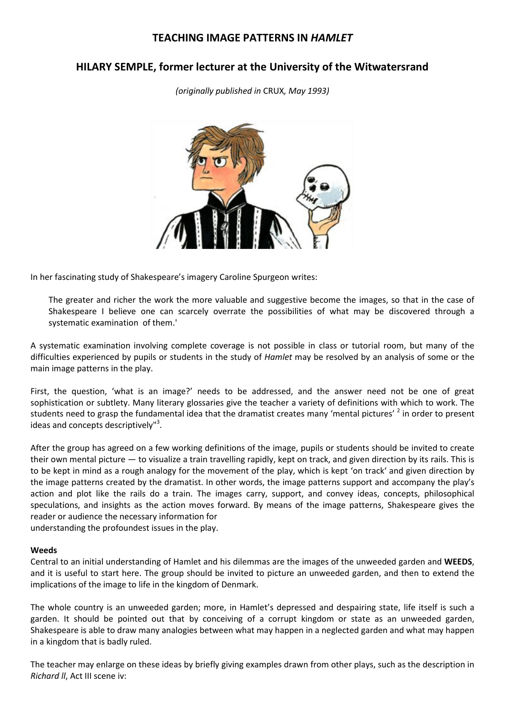# **TEACHING IMAGE PATTERNS IN** *HAMLET*

# **HILARY SEMPLE, former lecturer at the University of the Witwatersrand**

*(originally published in* CRUX*, May 1993)*



In her fascinating study of Shakespeare's imagery Caroline Spurgeon writes:

The greater and richer the work the more valuable and suggestive become the images, so that in the case of Shakespeare I believe one can scarcely overrate the possibilities of what may be discovered through a systematic examination of them.'

A systematic examination involving complete coverage is not possible in class or tutorial room, but many of the difficulties experienced by pupils or students in the study of *Hamlet* may be resolved by an analysis of some or the main image patterns in the play.

First, the question, 'what is an image?' needs to be addressed, and the answer need not be one of great sophistication or subtlety. Many literary glossaries give the teacher a variety of definitions with which to work. The students need to grasp the fundamental idea that the dramatist creates many 'mental pictures' <sup>2</sup> in order to present ideas and concepts descriptively"<sup>3</sup>.

After the group has agreed on a few working definitions of the image, pupils or students should be invited to create their own mental picture — to visualize a train travelling rapidly, kept on track, and given direction by its rails. This is to be kept in mind as a rough analogy for the movement of the play, which is kept 'on track' and given direction by the image patterns created by the dramatist. In other words, the image patterns support and accompany the play's action and plot like the rails do a train. The images carry, support, and convey ideas, concepts, philosophical speculations, and insights as the action moves forward. By means of the image patterns, Shakespeare gives the reader or audience the necessary information for

understanding the profoundest issues in the play.

#### **Weeds**

Central to an initial understanding of Hamlet and his dilemmas are the images of the unweeded garden and **WEEDS**, and it is useful to start here. The group should be invited to picture an unweeded garden, and then to extend the implications of the image to life in the kingdom of Denmark.

The whole country is an unweeded garden; more, in Hamlet's depressed and despairing state, life itself is such a garden. It should be pointed out that by conceiving of a corrupt kingdom or state as an unweeded garden, Shakespeare is able to draw many analogies between what may happen in a neglected garden and what may happen in a kingdom that is badly ruled.

The teacher may enlarge on these ideas by briefly giving examples drawn from other plays, such as the description in *Richard ll*, Act III scene iv: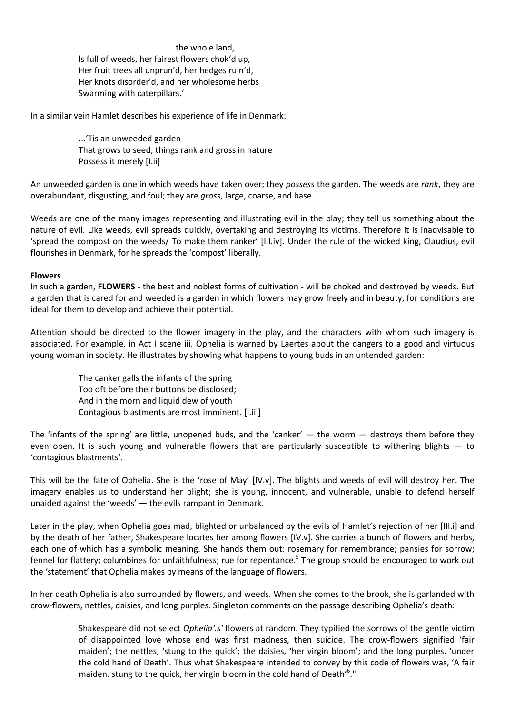the whole land, ls full of weeds, her fairest flowers chok'd up, Her fruit trees all unprun'd, her hedges ruin'd, Her knots disorder'd, and her wholesome herbs Swarming with caterpillars.'

In a similar vein Hamlet describes his experience of life in Denmark:

...'Tis an unweeded garden That grows to seed; things rank and gross in nature Possess it merely [I.ii]

An unweeded garden is one in which weeds have taken over; they *possess* the garden. The weeds are *rank*, they are overabundant, disgusting, and foul; they are *gross*, large, coarse, and base.

Weeds are one of the many images representing and illustrating evil in the play; they tell us something about the nature of evil. Like weeds, evil spreads quickly, overtaking and destroying its victims. Therefore it is inadvisable to 'spread the compost on the weeds/ To make them ranker' [III.iv]. Under the rule of the wicked king, Claudius, evil flourishes in Denmark, for he spreads the 'compost' liberally.

#### **Flowers**

In such a garden, **FLOWERS** - the best and noblest forms of cultivation - will be choked and destroyed by weeds. But a garden that is cared for and weeded is a garden in which flowers may grow freely and in beauty, for conditions are ideal for them to develop and achieve their potential.

Attention should be directed to the flower imagery in the play, and the characters with whom such imagery is associated. For example, in Act I scene iii, Ophelia is warned by Laertes about the dangers to a good and virtuous young woman in society. He illustrates by showing what happens to young buds in an untended garden:

> The canker galls the infants of the spring Too oft before their buttons be disclosed; And in the morn and liquid dew of youth Contagious blastments are most imminent. [l.iii]

The 'infants of the spring' are little, unopened buds, and the 'canker'  $-$  the worm  $-$  destroys them before they even open. It is such young and vulnerable flowers that are particularly susceptible to withering blights — to 'contagious blastments'.

This will be the fate of Ophelia. She is the 'rose of May' [IV.v]. The blights and weeds of evil will destroy her. The imagery enables us to understand her plight; she is young, innocent, and vulnerable, unable to defend herself unaided against the 'weeds' — the evils rampant in Denmark.

Later in the play, when Ophelia goes mad, blighted or unbalanced by the evils of Hamlet's rejection of her [III.i] and by the death of her father, Shakespeare locates her among flowers [IV.v]. She carries a bunch of flowers and herbs, each one of which has a symbolic meaning. She hands them out: rosemary for remembrance; pansies for sorrow; fennel for flattery; columbines for unfaithfulness; rue for repentance.<sup>5</sup> The group should be encouraged to work out the 'statement' that Ophelia makes by means of the language of flowers.

In her death Ophelia is also surrounded by flowers, and weeds. When she comes to the brook, she is garlanded with crow-flowers, nettles, daisies, and long purples. Singleton comments on the passage describing Ophelia's death:

> Shakespeare did not select *Ophelia'.s'* flowers at random. They typified the sorrows of the gentle victim of disappointed love whose end was first madness, then suicide. The crow-flowers signified 'fair maiden'; the nettles, 'stung to the quick'; the daisies, 'her virgin bloom'; and the long purples. 'under the cold hand of Death'. Thus what Shakespeare intended to convey by this code of flowers was, 'A fair maiden. stung to the quick, her virgin bloom in the cold hand of Death'<sup>6</sup>."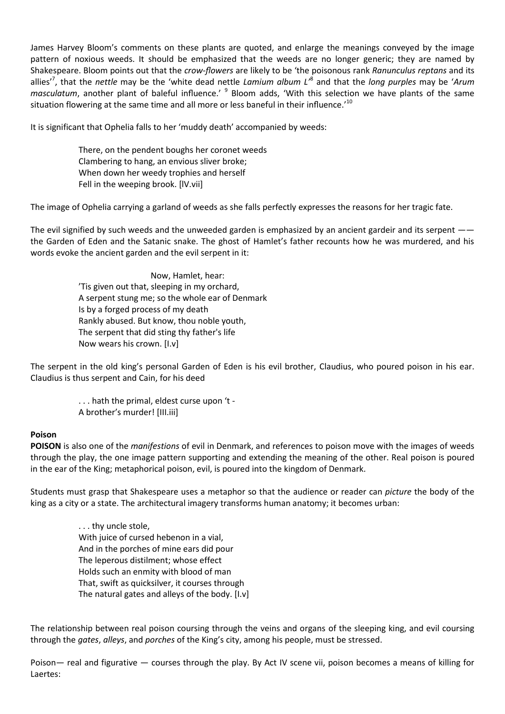James Harvey Bloom's comments on these plants are quoted, and enlarge the meanings conveyed by the image pattern of noxious weeds. It should be emphasized that the weeds are no longer generic; they are named by Shakespeare. Bloom points out that the *crow-flowers* are likely to be 'the poisonous rank *Ranunculus reptans* and its allies'<sup>7</sup> , that the *nettle* may be the 'white dead nettle *Lamium album L'*<sup>8</sup> and that the *long purples* may be '*Arum*  masculatum, another plant of baleful influence.' <sup>9</sup> Bloom adds, 'With this selection we have plants of the same situation flowering at the same time and all more or less baneful in their influence.'<sup>10</sup>

It is significant that Ophelia falls to her 'muddy death' accompanied by weeds:

There, on the pendent boughs her coronet weeds Clambering to hang, an envious sliver broke; When down her weedy trophies and herself Fell in the weeping brook. [lV.vii]

The image of Ophelia carrying a garland of weeds as she falls perfectly expresses the reasons for her tragic fate.

The evil signified by such weeds and the unweeded garden is emphasized by an ancient gardeir and its serpent — the Garden of Eden and the Satanic snake. The ghost of Hamlet's father recounts how he was murdered, and his words evoke the ancient garden and the evil serpent in it:

> Now, Hamlet, hear: 'Tis given out that, sleeping in my orchard, A serpent stung me; so the whole ear of Denmark Is by a forged process of my death Rankly abused. But know, thou noble youth, The serpent that did sting thy father's life Now wears his crown. [I.v]

The serpent in the old king's personal Garden of Eden is his evil brother, Claudius, who poured poison in his ear. Claudius is thus serpent and Cain, for his deed

> . . . hath the primal, eldest curse upon 't - A brother's murder! [III.iii]

#### **Poison**

**POISON** is also one of the *manifestions* of evil in Denmark, and references to poison move with the images of weeds through the play, the one image pattern supporting and extending the meaning of the other. Real poison is poured in the ear of the King; metaphorical poison, evil, is poured into the kingdom of Denmark.

Students must grasp that Shakespeare uses a metaphor so that the audience or reader can *picture* the body of the king as a city or a state. The architectural imagery transforms human anatomy; it becomes urban:

> . . . thy uncle stole, With juice of cursed hebenon in a vial, And in the porches of mine ears did pour The leperous distilment; whose effect Holds such an enmity with blood of man That, swift as quicksilver, it courses through The natural gates and alleys of the body. [I.v]

The relationship between real poison coursing through the veins and organs of the sleeping king, and evil coursing through the *gates*, *alleys*, and *porches* of the King's city, among his people, must be stressed.

Poison— real and figurative — courses through the play. By Act IV scene vii, poison becomes a means of killing for Laertes: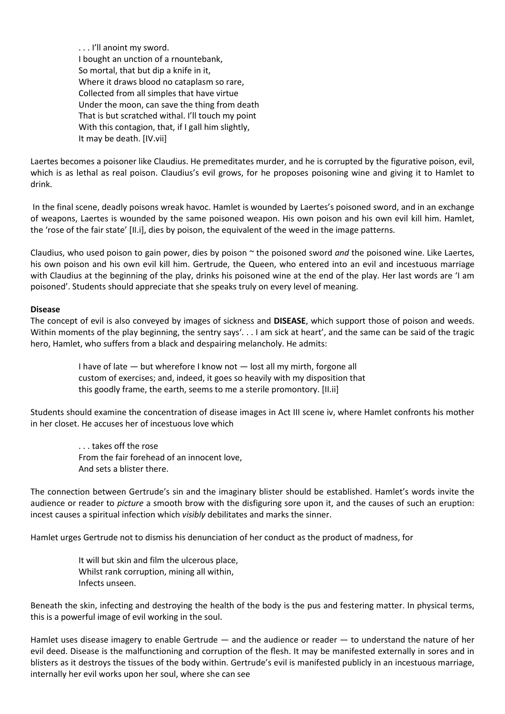. . . I'll anoint my sword. I bought an unction of a rnountebank, So mortal, that but dip a knife in it, Where it draws blood no cataplasm so rare, Collected from all simples that have virtue Under the moon, can save the thing from death That is but scratched withal. I'll touch my point With this contagion, that, if I gall him slightly, It may be death. [IV.vii]

Laertes becomes a poisoner like Claudius. He premeditates murder, and he is corrupted by the figurative poison, evil, which is as lethal as real poison. Claudius's evil grows, for he proposes poisoning wine and giving it to Hamlet to drink.

In the final scene, deadly poisons wreak havoc. Hamlet is wounded by Laertes's poisoned sword, and in an exchange of weapons, Laertes is wounded by the same poisoned weapon. His own poison and his own evil kill him. Hamlet, the 'rose of the fair state' [II.i], dies by poison, the equivalent of the weed in the image patterns.

Claudius, who used poison to gain power, dies by poison ~ the poisoned sword *and* the poisoned wine. Like Laertes, his own poison and his own evil kill him. Gertrude, the Queen, who entered into an evil and incestuous marriage with Claudius at the beginning of the play, drinks his poisoned wine at the end of the play. Her last words are 'I am poisoned'. Students should appreciate that she speaks truly on every level of meaning.

#### **Disease**

The concept of evil is also conveyed by images of sickness and **DISEASE**, which support those of poison and weeds. Within moments of the play beginning, the sentry says'. . . I am sick at heart', and the same can be said of the tragic hero, Hamlet, who suffers from a black and despairing melancholy. He admits:

> I have of late — but wherefore I know not — lost all my mirth, forgone all custom of exercises; and, indeed, it goes so heavily with my disposition that this goodly frame, the earth, seems to me a sterile promontory. [II.ii]

Students should examine the concentration of disease images in Act III scene iv, where Hamlet confronts his mother in her closet. He accuses her of incestuous love which

> . . . takes off the rose From the fair forehead of an innocent love, And sets a blister there.

The connection between Gertrude's sin and the imaginary blister should be established. Hamlet's words invite the audience or reader to *picture* a smooth brow with the disfiguring sore upon it, and the causes of such an eruption: incest causes a spiritual infection which *visibly* debilitates and marks the sinner.

Hamlet urges Gertrude not to dismiss his denunciation of her conduct as the product of madness, for

It will but skin and film the ulcerous place, Whilst rank corruption, mining all within, Infects unseen.

Beneath the skin, infecting and destroying the health of the body is the pus and festering matter. In physical terms, this is a powerful image of evil working in the soul.

Hamlet uses disease imagery to enable Gertrude — and the audience or reader — to understand the nature of her evil deed. Disease is the malfunctioning and corruption of the flesh. It may be manifested externally in sores and in blisters as it destroys the tissues of the body within. Gertrude's evil is manifested publicly in an incestuous marriage, internally her evil works upon her soul, where she can see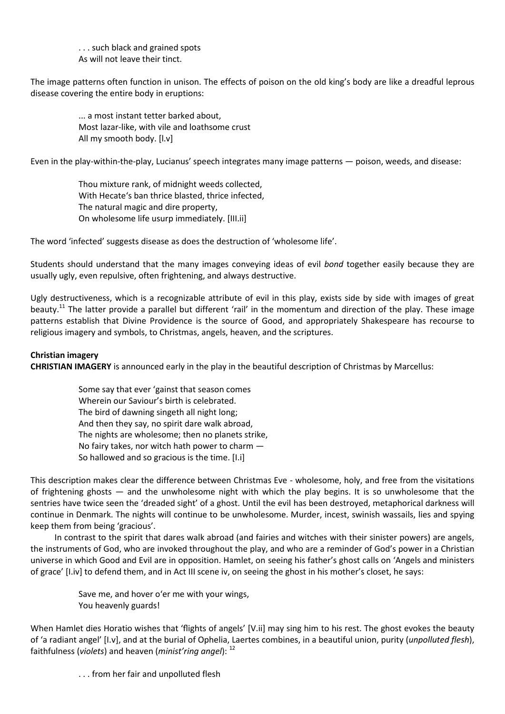. . . such black and grained spots As will not leave their tinct.

The image patterns often function in unison. The effects of poison on the old king's body are like a dreadful leprous disease covering the entire body in eruptions:

> ... a most instant tetter barked about, Most lazar-like, with vile and loathsome crust All my smooth body. [l.v]

Even in the play-within-the-play, Lucianus' speech integrates many image patterns — poison, weeds, and disease:

Thou mixture rank, of midnight weeds collected, With Hecate's ban thrice blasted, thrice infected, The natural magic and dire property, On wholesome life usurp immediately. [III.ii]

The word 'infected' suggests disease as does the destruction of 'wholesome life'.

Students should understand that the many images conveying ideas of evil *bond* together easily because they are usually ugly, even repulsive, often frightening, and always destructive.

Ugly destructiveness, which is a recognizable attribute of evil in this play, exists side by side with images of great beauty.<sup>11</sup> The latter provide a parallel but different 'rail' in the momentum and direction of the play. These image patterns establish that Divine Providence is the source of Good, and appropriately Shakespeare has recourse to religious imagery and symbols, to Christmas, angels, heaven, and the scriptures.

## **Christian imagery**

**CHRISTIAN IMAGERY** is announced early in the play in the beautiful description of Christmas by Marcellus:

Some say that ever 'gainst that season comes Wherein our Saviour's birth is celebrated. The bird of dawning singeth all night long; And then they say, no spirit dare walk abroad, The nights are wholesome; then no planets strike, No fairy takes, nor witch hath power to charm — So hallowed and so gracious is the time. [I.i]

This description makes clear the difference between Christmas Eve - wholesome, holy, and free from the visitations of frightening ghosts — and the unwholesome night with which the play begins. It is so unwholesome that the sentries have twice seen the 'dreaded sight' of a ghost. Until the evil has been destroyed, metaphorical darkness will continue in Denmark. The nights will continue to be unwholesome. Murder, incest, swinish wassails, lies and spying keep them from being 'gracious'.

In contrast to the spirit that dares walk abroad (and fairies and witches with their sinister powers) are angels, the instruments of God, who are invoked throughout the play, and who are a reminder of God's power in a Christian universe in which Good and Evil are in opposition. Hamlet, on seeing his father's ghost calls on 'Angels and ministers of grace' [I.iv] to defend them, and in Act III scene iv, on seeing the ghost in his mother's closet, he says:

> Save me, and hover o'er me with your wings, You heavenly guards!

When Hamlet dies Horatio wishes that 'flights of angels' [V.ii] may sing him to his rest. The ghost evokes the beauty of 'a radiant angel' [I.v], and at the burial of Ophelia, Laertes combines, in a beautiful union, purity (*unpolluted flesh*), faithfulness (*violets*) and heaven (*minist'ring angel*): <sup>12</sup>

. . . from her fair and unpolluted flesh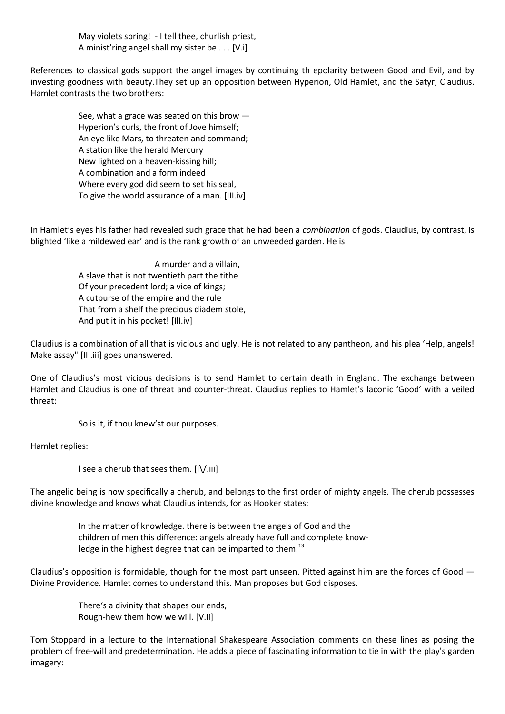May violets spring! - I tell thee, churlish priest, A minist'ring angel shall my sister be . . . [V.i]

References to classical gods support the angel images by continuing th epolarity between Good and Evil, and by investing goodness with beauty.They set up an opposition between Hyperion, Old Hamlet, and the Satyr, Claudius. Hamlet contrasts the two brothers:

> See, what a grace was seated on this brow — Hyperion's curls, the front of Jove himself; An eye like Mars, to threaten and command; A station like the herald Mercury New lighted on a heaven-kissing hill; A combination and a form indeed Where every god did seem to set his seal, To give the world assurance of a man. [III.iv]

In Hamlet's eyes his father had revealed such grace that he had been a *combination* of gods. Claudius, by contrast, is blighted 'like a mildewed ear' and is the rank growth of an unweeded garden. He is

> A murder and a villain, A slave that is not twentieth part the tithe Of your precedent lord; a vice of kings; A cutpurse of the empire and the rule That from a shelf the precious diadem stole, And put it in his pocket! [IlI.iv]

Claudius is a combination of all that is vicious and ugly. He is not related to any pantheon, and his plea 'Help, angels! Make assay" [III.iii] goes unanswered.

One of Claudius's most vicious decisions is to send Hamlet to certain death in England. The exchange between Hamlet and Claudius is one of threat and counter-threat. Claudius replies to Hamlet's laconic 'Good' with a veiled threat:

So is it, if thou knew'st our purposes.

Hamlet replies:

l see a cherub that sees them. [I\/.iii]

The angelic being is now specifically a cherub, and belongs to the first order of mighty angels. The cherub possesses divine knowledge and knows what Claudius intends, for as Hooker states:

> In the matter of knowledge. there is between the angels of God and the children of men this difference: angels already have full and complete knowledge in the highest degree that can be imparted to them.<sup>13</sup>

Claudius's opposition is formidable, though for the most part unseen. Pitted against him are the forces of Good — Divine Providence. Hamlet comes to understand this. Man proposes but God disposes.

> There's a divinity that shapes our ends, Rough-hew them how we will. [V.ii]

Tom Stoppard in a lecture to the International Shakespeare Association comments on these lines as posing the problem of free-will and predetermination. He adds a piece of fascinating information to tie in with the play's garden imagery: